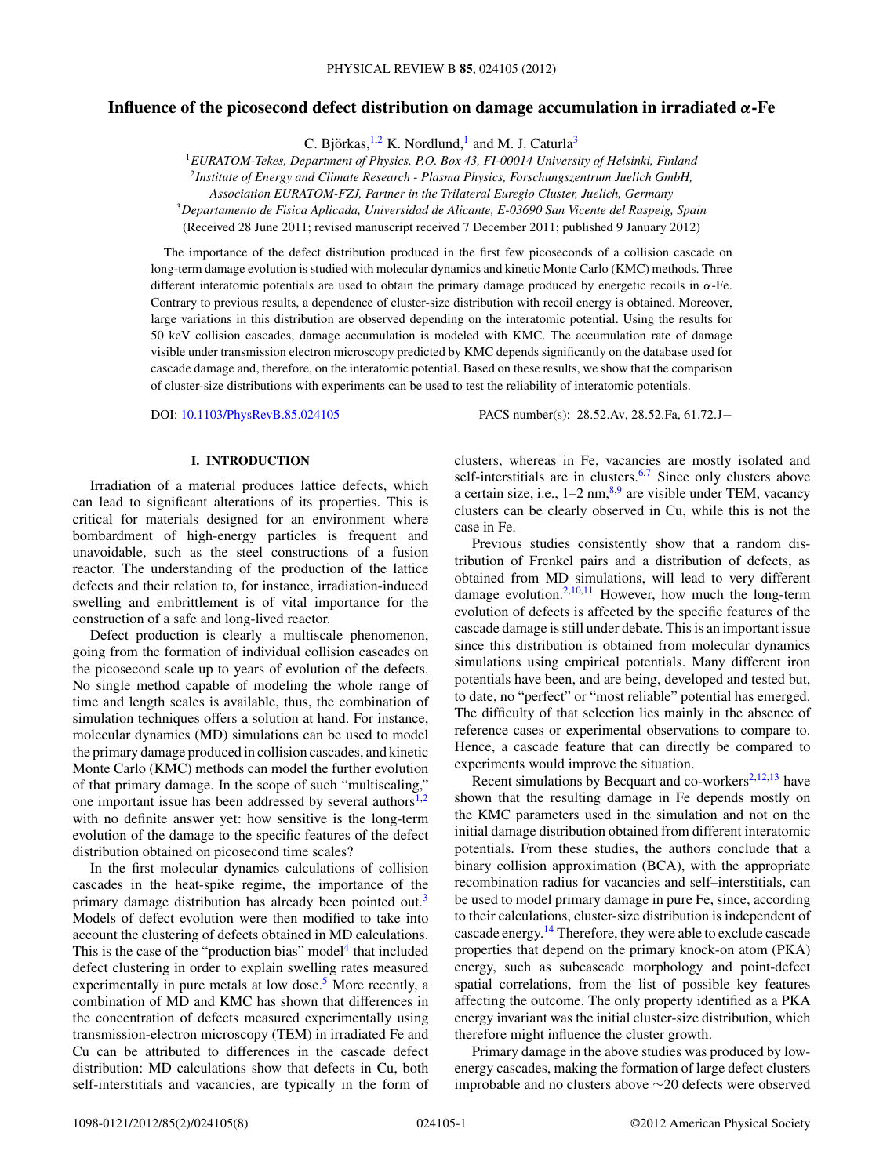# **Influence of the picosecond defect distribution on damage accumulation in irradiated** *α***-Fe**

C. Björkas,  $^{1,2}$  K. Nordlund,<sup>1</sup> and M. J. Caturla<sup>3</sup>

<sup>1</sup>*EURATOM-Tekes, Department of Physics, P.O. Box 43, FI-00014 University of Helsinki, Finland*

<sup>2</sup>*Institute of Energy and Climate Research - Plasma Physics, Forschungszentrum Juelich GmbH,*

*Association EURATOM-FZJ, Partner in the Trilateral Euregio Cluster, Juelich, Germany*

<sup>3</sup>*Departamento de Fisica Aplicada, Universidad de Alicante, E-03690 San Vicente del Raspeig, Spain*

(Received 28 June 2011; revised manuscript received 7 December 2011; published 9 January 2012)

The importance of the defect distribution produced in the first few picoseconds of a collision cascade on long-term damage evolution is studied with molecular dynamics and kinetic Monte Carlo (KMC) methods. Three different interatomic potentials are used to obtain the primary damage produced by energetic recoils in *α*-Fe. Contrary to previous results, a dependence of cluster-size distribution with recoil energy is obtained. Moreover, large variations in this distribution are observed depending on the interatomic potential. Using the results for 50 keV collision cascades, damage accumulation is modeled with KMC. The accumulation rate of damage visible under transmission electron microscopy predicted by KMC depends significantly on the database used for cascade damage and, therefore, on the interatomic potential. Based on these results, we show that the comparison of cluster-size distributions with experiments can be used to test the reliability of interatomic potentials.

DOI: [10.1103/PhysRevB.85.024105](http://dx.doi.org/10.1103/PhysRevB.85.024105) PACS number(s): 28*.*52*.*Av, 28*.*52*.*Fa, 61*.*72*.*J−

## **I. INTRODUCTION**

Irradiation of a material produces lattice defects, which can lead to significant alterations of its properties. This is critical for materials designed for an environment where bombardment of high-energy particles is frequent and unavoidable, such as the steel constructions of a fusion reactor. The understanding of the production of the lattice defects and their relation to, for instance, irradiation-induced swelling and embrittlement is of vital importance for the construction of a safe and long-lived reactor.

Defect production is clearly a multiscale phenomenon, going from the formation of individual collision cascades on the picosecond scale up to years of evolution of the defects. No single method capable of modeling the whole range of time and length scales is available, thus, the combination of simulation techniques offers a solution at hand. For instance, molecular dynamics (MD) simulations can be used to model the primary damage produced in collision cascades, and kinetic Monte Carlo (KMC) methods can model the further evolution of that primary damage. In the scope of such "multiscaling," one important issue has been addressed by several authors $1,2$ with no definite answer yet: how sensitive is the long-term evolution of the damage to the specific features of the defect distribution obtained on picosecond time scales?

In the first molecular dynamics calculations of collision cascades in the heat-spike regime, the importance of the primary damage distribution has already been pointed out.<sup>[3](#page-6-0)</sup> Models of defect evolution were then modified to take into account the clustering of defects obtained in MD calculations. This is the case of the "production bias" model $4$  that included defect clustering in order to explain swelling rates measured experimentally in pure metals at low dose.<sup>5</sup> More recently, a combination of MD and KMC has shown that differences in the concentration of defects measured experimentally using transmission-electron microscopy (TEM) in irradiated Fe and Cu can be attributed to differences in the cascade defect distribution: MD calculations show that defects in Cu, both self-interstitials and vacancies, are typically in the form of clusters, whereas in Fe, vacancies are mostly isolated and self-interstitials are in clusters. $6,7$  Since only clusters above a certain size, i.e.,  $1-2$  nm,  $8.9$  are visible under TEM, vacancy clusters can be clearly observed in Cu, while this is not the case in Fe.

Previous studies consistently show that a random distribution of Frenkel pairs and a distribution of defects, as obtained from MD simulations, will lead to very different damage evolution. $2,10,11$  However, how much the long-term evolution of defects is affected by the specific features of the cascade damage is still under debate. This is an important issue since this distribution is obtained from molecular dynamics simulations using empirical potentials. Many different iron potentials have been, and are being, developed and tested but, to date, no "perfect" or "most reliable" potential has emerged. The difficulty of that selection lies mainly in the absence of reference cases or experimental observations to compare to. Hence, a cascade feature that can directly be compared to experiments would improve the situation.

Recent simulations by Becquart and co-workers $2,12,13$  have shown that the resulting damage in Fe depends mostly on the KMC parameters used in the simulation and not on the initial damage distribution obtained from different interatomic potentials. From these studies, the authors conclude that a binary collision approximation (BCA), with the appropriate recombination radius for vacancies and self–interstitials, can be used to model primary damage in pure Fe, since, according to their calculations, cluster-size distribution is independent of cascade energy.<sup>14</sup> Therefore, they were able to exclude cascade properties that depend on the primary knock-on atom (PKA) energy, such as subcascade morphology and point-defect spatial correlations, from the list of possible key features affecting the outcome. The only property identified as a PKA energy invariant was the initial cluster-size distribution, which therefore might influence the cluster growth.

Primary damage in the above studies was produced by lowenergy cascades, making the formation of large defect clusters improbable and no clusters above ∼20 defects were observed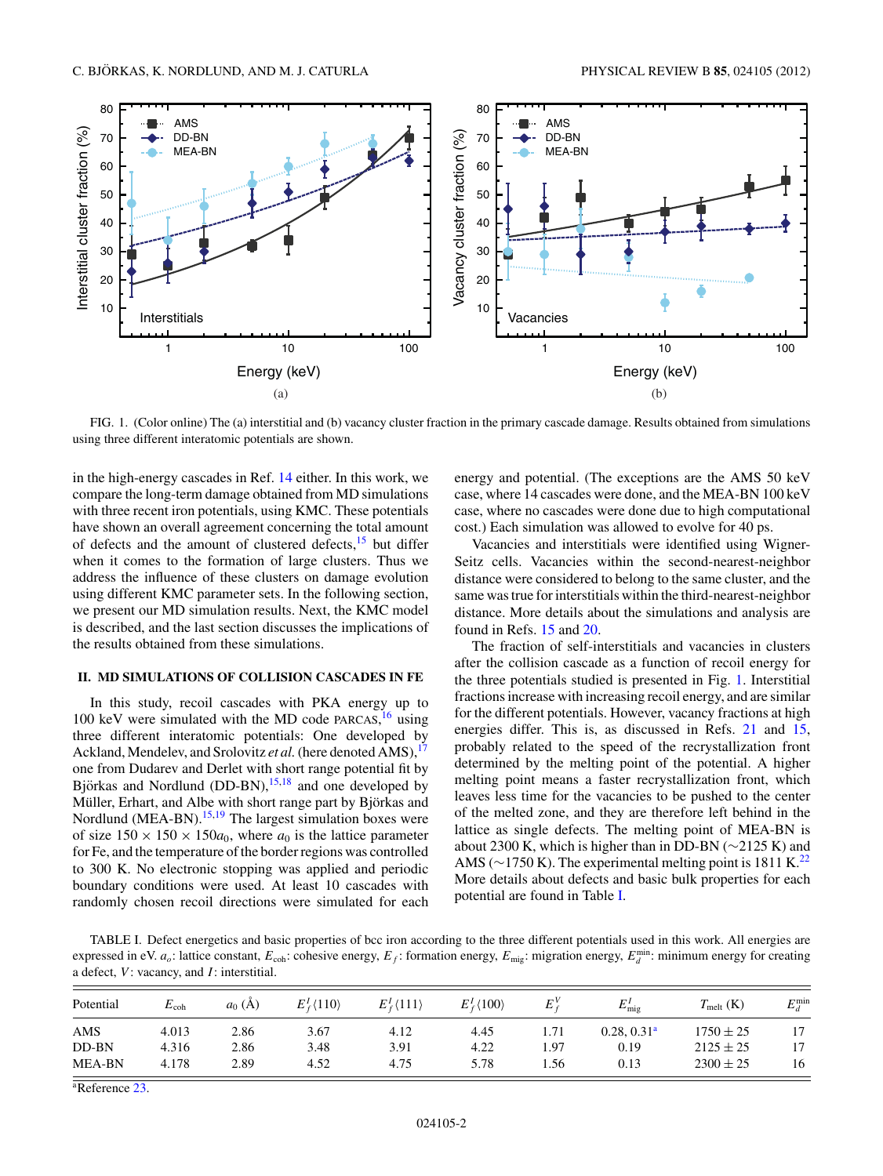

FIG. 1. (Color online) The (a) interstitial and (b) vacancy cluster fraction in the primary cascade damage. Results obtained from simulations using three different interatomic potentials are shown.

in the high-energy cascades in Ref. [14](#page-6-0) either. In this work, we compare the long-term damage obtained from MD simulations with three recent iron potentials, using KMC. These potentials have shown an overall agreement concerning the total amount of defects and the amount of clustered defects, $15$  but differ when it comes to the formation of large clusters. Thus we address the influence of these clusters on damage evolution using different KMC parameter sets. In the following section, we present our MD simulation results. Next, the KMC model is described, and the last section discusses the implications of the results obtained from these simulations.

### **II. MD SIMULATIONS OF COLLISION CASCADES IN FE**

In this study, recoil cascades with PKA energy up to 100 keV were simulated with the MD code PARCAS,  $16$  using three different interatomic potentials: One developed by Ackland, Mendelev, and Srolovitz *et al.* (here denoted AMS),<sup>1</sup> one from Dudarev and Derlet with short range potential fit by Björkas and Nordlund (DD-BN), <sup>[15,18](#page-6-0)</sup> and one developed by Müller, Erhart, and Albe with short range part by Björkas and Nordlund (MEA-BN). $15,19$  The largest simulation boxes were of size  $150 \times 150 \times 150a_0$ , where  $a_0$  is the lattice parameter for Fe, and the temperature of the border regions was controlled to 300 K. No electronic stopping was applied and periodic boundary conditions were used. At least 10 cascades with randomly chosen recoil directions were simulated for each energy and potential. (The exceptions are the AMS 50 keV case, where 14 cascades were done, and the MEA-BN 100 keV case, where no cascades were done due to high computational cost.) Each simulation was allowed to evolve for 40 ps.

Vacancies and interstitials were identified using Wigner-Seitz cells. Vacancies within the second-nearest-neighbor distance were considered to belong to the same cluster, and the same was true for interstitials within the third-nearest-neighbor distance. More details about the simulations and analysis are found in Refs. [15](#page-6-0) and [20.](#page-6-0)

The fraction of self-interstitials and vacancies in clusters after the collision cascade as a function of recoil energy for the three potentials studied is presented in Fig. 1. Interstitial fractions increase with increasing recoil energy, and are similar for the different potentials. However, vacancy fractions at high energies differ. This is, as discussed in Refs. [21](#page-6-0) and [15,](#page-6-0) probably related to the speed of the recrystallization front determined by the melting point of the potential. A higher melting point means a faster recrystallization front, which leaves less time for the vacancies to be pushed to the center of the melted zone, and they are therefore left behind in the lattice as single defects. The melting point of MEA-BN is about 2300 K, which is higher than in DD-BN ( $\sim$ 2125 K) and AMS ( $\sim$ 1750 K). The experimental melting point is 1811 K.<sup>[22](#page-7-0)</sup> More details about defects and basic bulk properties for each potential are found in Table I.

TABLE I. Defect energetics and basic properties of bcc iron according to the three different potentials used in this work. All energies are expressed in eV.  $a_o$ : lattice constant,  $E_{coh}$ : cohesive energy,  $E_f$ : formation energy,  $E_{mig}$ : migration energy,  $E_d^{min}$ : minimum energy for creating a defect, *V* : vacancy, and *I* : interstitial.

| Potential     | $E_{\rm coh}$ | $a_0(A)$ | $E_{\rm f}^I \langle 110 \rangle$ | $E_{\rm f}^I \langle 111 \rangle$ | 100<br>$E^I_{\tau'}$ | $E^V$ | $E_{\rm mig}^I$         | $T_{\text{melt}}$ (K) | $E_d^{\min}$ |
|---------------|---------------|----------|-----------------------------------|-----------------------------------|----------------------|-------|-------------------------|-----------------------|--------------|
| AMS           | 4.013         | 2.86     | 3.67                              | 4.12                              | 4.45                 | 1.71  | 0.28, 0.31 <sup>a</sup> | $1750 \pm 25$         | 17           |
| DD-BN         | 4.316         | 2.86     | 3.48                              | 3.91                              | 4.22                 | 1.97  | 0.19                    | $2125 \pm 25$         | 17           |
| <b>MEA-BN</b> | 4.178         | 2.89     | 4.52                              | 4.75                              | 5.78                 | .56   | 0.13                    | $2300 \pm 25$         | 16           |

a Reference [23.](#page-7-0)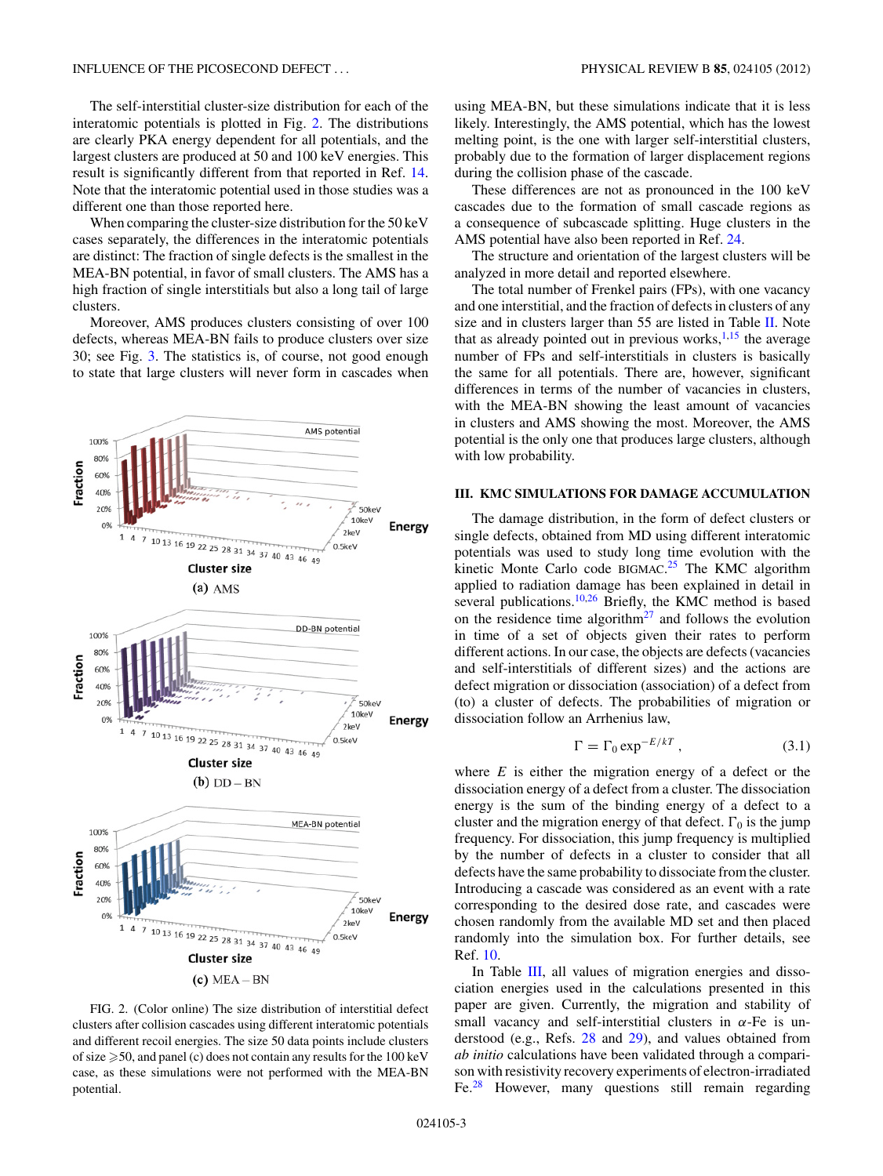The self-interstitial cluster-size distribution for each of the interatomic potentials is plotted in Fig. 2. The distributions are clearly PKA energy dependent for all potentials, and the largest clusters are produced at 50 and 100 keV energies. This result is significantly different from that reported in Ref. [14.](#page-6-0) Note that the interatomic potential used in those studies was a different one than those reported here.

When comparing the cluster-size distribution for the 50 keV cases separately, the differences in the interatomic potentials are distinct: The fraction of single defects is the smallest in the MEA-BN potential, in favor of small clusters. The AMS has a high fraction of single interstitials but also a long tail of large clusters.

Moreover, AMS produces clusters consisting of over 100 defects, whereas MEA-BN fails to produce clusters over size 30; see Fig. [3.](#page-3-0) The statistics is, of course, not good enough to state that large clusters will never form in cascades when



FIG. 2. (Color online) The size distribution of interstitial defect clusters after collision cascades using different interatomic potentials and different recoil energies. The size 50 data points include clusters of size  $\geqslant$  50, and panel (c) does not contain any results for the 100 keV case, as these simulations were not performed with the MEA-BN potential.

using MEA-BN, but these simulations indicate that it is less likely. Interestingly, the AMS potential, which has the lowest melting point, is the one with larger self-interstitial clusters, probably due to the formation of larger displacement regions during the collision phase of the cascade.

These differences are not as pronounced in the 100 keV cascades due to the formation of small cascade regions as a consequence of subcascade splitting. Huge clusters in the AMS potential have also been reported in Ref. [24.](#page-7-0)

The structure and orientation of the largest clusters will be analyzed in more detail and reported elsewhere.

The total number of Frenkel pairs (FPs), with one vacancy and one interstitial, and the fraction of defects in clusters of any size and in clusters larger than 55 are listed in Table [II.](#page-3-0) Note that as already pointed out in previous works, $1,15$  the average number of FPs and self-interstitials in clusters is basically the same for all potentials. There are, however, significant differences in terms of the number of vacancies in clusters, with the MEA-BN showing the least amount of vacancies in clusters and AMS showing the most. Moreover, the AMS potential is the only one that produces large clusters, although with low probability.

#### **III. KMC SIMULATIONS FOR DAMAGE ACCUMULATION**

The damage distribution, in the form of defect clusters or single defects, obtained from MD using different interatomic potentials was used to study long time evolution with the kinetic Monte Carlo code BIGMAC.<sup>[25](#page-7-0)</sup> The KMC algorithm applied to radiation damage has been explained in detail in several publications.<sup>[10,](#page-6-0)[26](#page-7-0)</sup> Briefly, the KMC method is based on the residence time algorithm $^{27}$  and follows the evolution in time of a set of objects given their rates to perform different actions. In our case, the objects are defects (vacancies and self-interstitials of different sizes) and the actions are defect migration or dissociation (association) of a defect from (to) a cluster of defects. The probabilities of migration or dissociation follow an Arrhenius law,

$$
\Gamma = \Gamma_0 \exp^{-E/kT}, \qquad (3.1)
$$

where *E* is either the migration energy of a defect or the dissociation energy of a defect from a cluster. The dissociation energy is the sum of the binding energy of a defect to a cluster and the migration energy of that defect.  $\Gamma_0$  is the jump frequency. For dissociation, this jump frequency is multiplied by the number of defects in a cluster to consider that all defects have the same probability to dissociate from the cluster. Introducing a cascade was considered as an event with a rate corresponding to the desired dose rate, and cascades were chosen randomly from the available MD set and then placed randomly into the simulation box. For further details, see Ref. [10.](#page-6-0)

In Table [III,](#page-4-0) all values of migration energies and dissociation energies used in the calculations presented in this paper are given. Currently, the migration and stability of small vacancy and self-interstitial clusters in  $\alpha$ -Fe is understood (e.g., Refs. [28](#page-7-0) and [29\)](#page-7-0), and values obtained from *ab initio* calculations have been validated through a comparison with resistivity recovery experiments of electron-irradiated Fe.[28](#page-7-0) However, many questions still remain regarding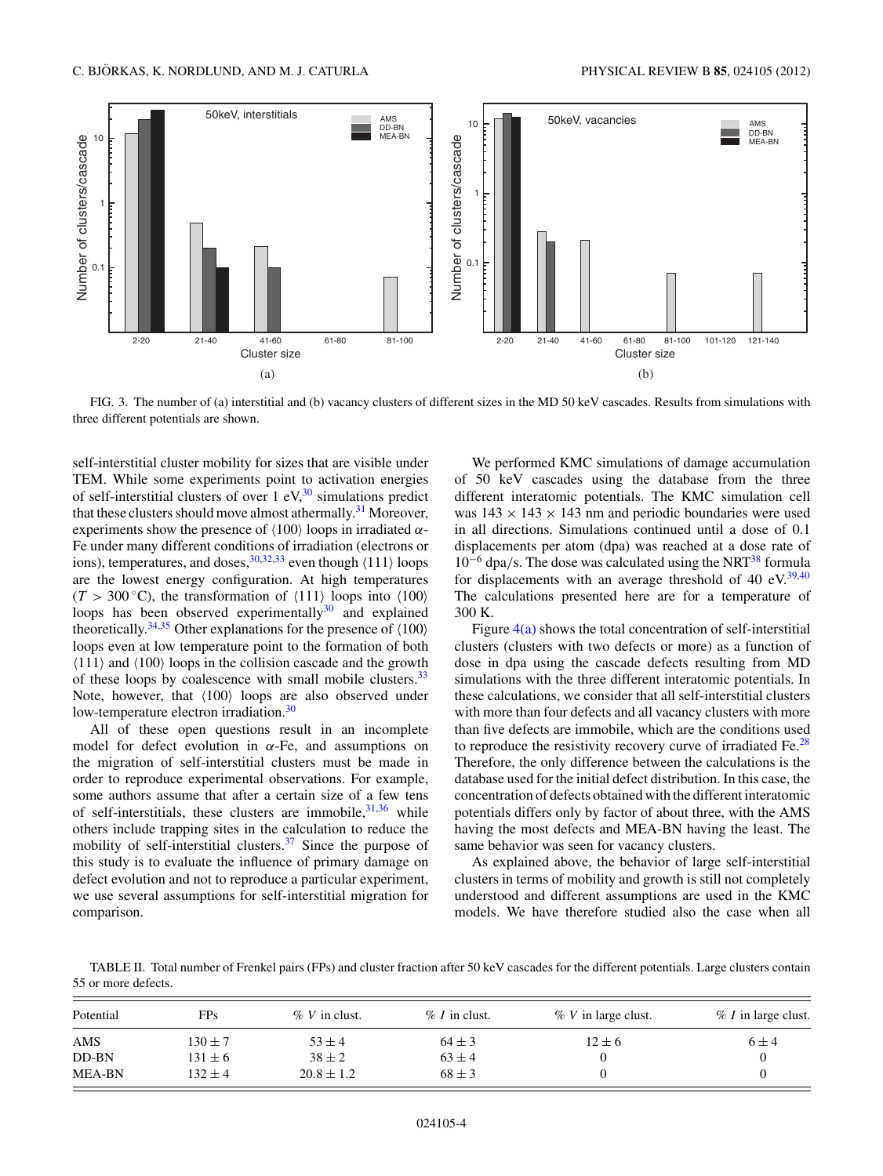<span id="page-3-0"></span>

FIG. 3. The number of (a) interstitial and (b) vacancy clusters of different sizes in the MD 50 keV cascades. Results from simulations with three different potentials are shown.

self-interstitial cluster mobility for sizes that are visible under TEM. While some experiments point to activation energies of self-interstitial clusters of over 1 eV, $30$  simulations predict that these clusters should move almost athermally.<sup>[31](#page-7-0)</sup> Moreover, experiments show the presence of  $\langle 100 \rangle$  loops in irradiated  $\alpha$ -Fe under many different conditions of irradiation (electrons or ions), temperatures, and doses,  $30,32,33$  even though  $\langle 111 \rangle$  loops are the lowest energy configuration. At high temperatures  $(T > 300 \degree C)$ , the transformation of  $\langle 111 \rangle$  loops into  $\langle 100 \rangle$ loops has been observed experimentally $30$  and explained theoretically.<sup>[34,35](#page-7-0)</sup> Other explanations for the presence of  $\langle 100 \rangle$ loops even at low temperature point to the formation of both  $\langle 111 \rangle$  and  $\langle 100 \rangle$  loops in the collision cascade and the growth of these loops by coalescence with small mobile clusters.<sup>33</sup> Note, however, that  $(100)$  loops are also observed under low-temperature electron irradiation.<sup>[30](#page-7-0)</sup>

All of these open questions result in an incomplete model for defect evolution in *α*-Fe, and assumptions on the migration of self-interstitial clusters must be made in order to reproduce experimental observations. For example, some authors assume that after a certain size of a few tens of self-interstitials, these clusters are immobile,  $31,36$  while others include trapping sites in the calculation to reduce the mobility of self-interstitial clusters. $37$  Since the purpose of this study is to evaluate the influence of primary damage on defect evolution and not to reproduce a particular experiment, we use several assumptions for self-interstitial migration for comparison.

We performed KMC simulations of damage accumulation of 50 keV cascades using the database from the three different interatomic potentials. The KMC simulation cell was  $143 \times 143 \times 143$  nm and periodic boundaries were used in all directions. Simulations continued until a dose of 0.1 displacements per atom (dpa) was reached at a dose rate of 10−<sup>6</sup> dpa*/*s. The dose was calculated using the NRT[38](#page-7-0) formula for displacements with an average threshold of 40  $eV^{39,40}$ The calculations presented here are for a temperature of 300 K.

Figure  $4(a)$  shows the total concentration of self-interstitial clusters (clusters with two defects or more) as a function of dose in dpa using the cascade defects resulting from MD simulations with the three different interatomic potentials. In these calculations, we consider that all self-interstitial clusters with more than four defects and all vacancy clusters with more than five defects are immobile, which are the conditions used to reproduce the resistivity recovery curve of irradiated  $Fe^{28}$  $Fe^{28}$  $Fe^{28}$ . Therefore, the only difference between the calculations is the database used for the initial defect distribution. In this case, the concentration of defects obtained with the different interatomic potentials differs only by factor of about three, with the AMS having the most defects and MEA-BN having the least. The same behavior was seen for vacancy clusters.

As explained above, the behavior of large self-interstitial clusters in terms of mobility and growth is still not completely understood and different assumptions are used in the KMC models. We have therefore studied also the case when all

TABLE II. Total number of Frenkel pairs (FPs) and cluster fraction after 50 keV cascades for the different potentials. Large clusters contain 55 or more defects.

| Potential     | $_{\rm{FPs}}$ | $\%$ V in clust. | $\%$ I in clust. | $\%$ V in large clust. | $\%$ I in large clust. |
|---------------|---------------|------------------|------------------|------------------------|------------------------|
| AMS           | $130 \pm 7$   | $53 \pm 4$       | $64 \pm 3$       | $12 \pm 6$             | $6 \pm 4$              |
| DD-BN         | $131 \pm 6$   | $38 \pm 2$       | $63 \pm 4$       |                        |                        |
| <b>MEA-BN</b> | $132 \pm 4$   | $20.8 \pm 1.2$   | $68 \pm 3$       |                        |                        |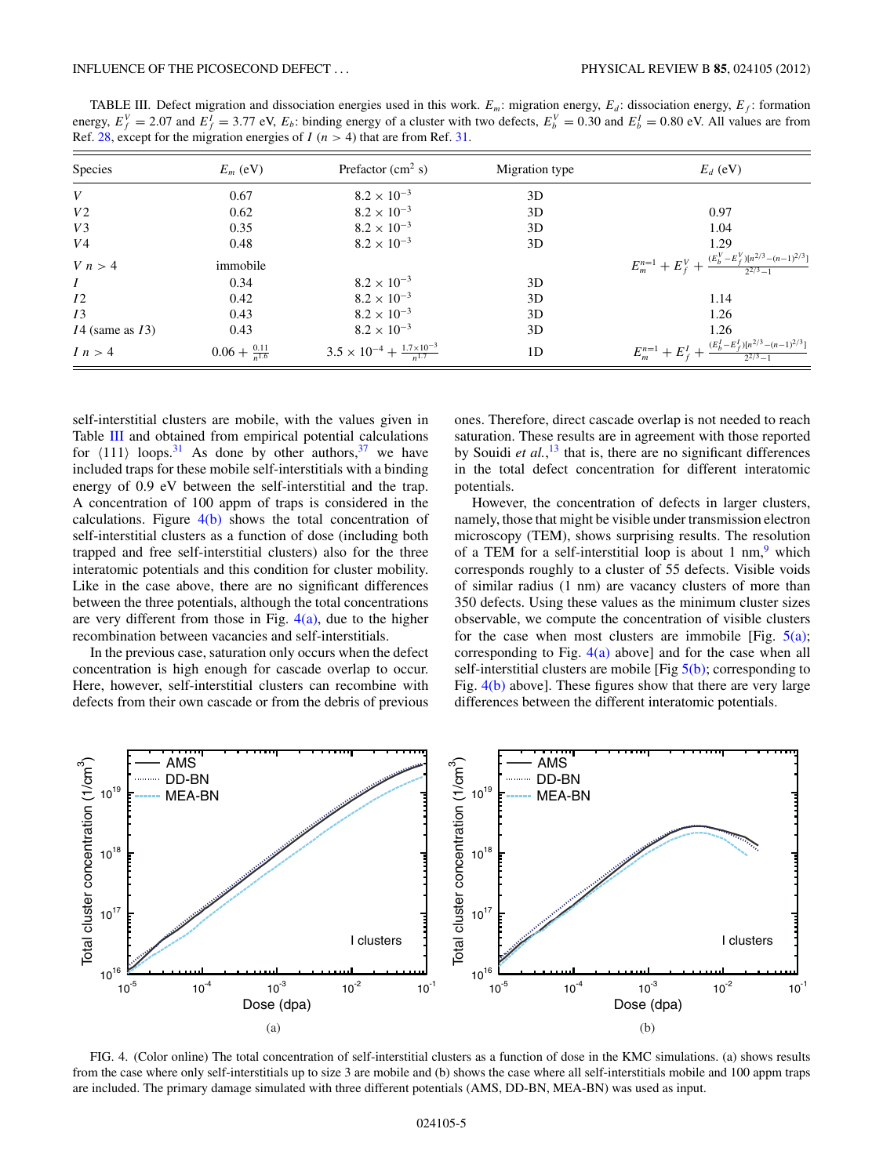<span id="page-4-0"></span>TABLE III. Defect migration and dissociation energies used in this work.  $E_m$ : migration energy,  $E_d$ : dissociation energy,  $E_f$ : formation energy,  $E_f^V = 2.07$  and  $E_f^I = 3.77$  eV,  $E_b$ : binding energy of a cluster with two defects,  $E_b^V = 0.30$  and  $E_b^I = 0.80$  eV. All values are from Ref. [28,](#page-7-0) except for the migration energies of *I* (*n >* 4) that are from Ref. [31.](#page-7-0)

| Species              | $E_m$ (eV)                    | Prefactor $(cm2 s)$                                       | Migration type | $E_d$ (eV)                                                                       |
|----------------------|-------------------------------|-----------------------------------------------------------|----------------|----------------------------------------------------------------------------------|
| V                    | 0.67                          | $8.2 \times 10^{-3}$                                      | 3D             |                                                                                  |
| V <sub>2</sub>       | 0.62                          | $8.2 \times 10^{-3}$                                      | 3D             | 0.97                                                                             |
| V <sub>3</sub>       | 0.35                          | $8.2 \times 10^{-3}$                                      | 3D             | 1.04                                                                             |
| V4                   | 0.48                          | $8.2 \times 10^{-3}$                                      | 3D             | 1.29                                                                             |
| V n > 4              | immobile                      |                                                           |                | $E_m^{n=1} + E_f^V + \frac{(E_b^V - E_f^V)[n^{2/3} - (n-1)^{2/3}]}{2^{2/3} - 1}$ |
| $\mathcal{I}$        | 0.34                          | $8.2 \times 10^{-3}$                                      | 3D             |                                                                                  |
| I2                   | 0.42                          | $8.2 \times 10^{-3}$                                      | 3D             | 1.14                                                                             |
| I3                   | 0.43                          | $8.2 \times 10^{-3}$                                      | 3D             | 1.26                                                                             |
| $I4$ (same as $I3$ ) | 0.43                          | $8.2 \times 10^{-3}$                                      | 3D             | 1.26                                                                             |
| 1 n > 4              | $0.06 + \frac{0.11}{n^{1.6}}$ | $3.5 \times 10^{-4} + \frac{1.7 \times 10^{-3}}{n^{1.7}}$ | 1 <sub>D</sub> | $E_m^{n=1} + E_f^I + \frac{(E_b^I - E_f^I)[n^{2/3} - (n-1)^{2/3}]}{2^{2/3} - 1}$ |

self-interstitial clusters are mobile, with the values given in Table III and obtained from empirical potential calculations for  $\langle 111 \rangle$  loops.<sup>31</sup> As done by other authors,<sup>37</sup> we have included traps for these mobile self-interstitials with a binding energy of 0.9 eV between the self-interstitial and the trap. A concentration of 100 appm of traps is considered in the calculations. Figure  $4(b)$  shows the total concentration of self-interstitial clusters as a function of dose (including both trapped and free self-interstitial clusters) also for the three interatomic potentials and this condition for cluster mobility. Like in the case above, there are no significant differences between the three potentials, although the total concentrations are very different from those in Fig.  $4(a)$ , due to the higher recombination between vacancies and self-interstitials.

In the previous case, saturation only occurs when the defect concentration is high enough for cascade overlap to occur. Here, however, self-interstitial clusters can recombine with defects from their own cascade or from the debris of previous ones. Therefore, direct cascade overlap is not needed to reach saturation. These results are in agreement with those reported by Souidi *et al.*, [13](#page-6-0) that is, there are no significant differences in the total defect concentration for different interatomic potentials.

However, the concentration of defects in larger clusters, namely, those that might be visible under transmission electron microscopy (TEM), shows surprising results. The resolution of a TEM for a self-interstitial loop is about 1  $nm$ , which corresponds roughly to a cluster of 55 defects. Visible voids of similar radius (1 nm) are vacancy clusters of more than 350 defects. Using these values as the minimum cluster sizes observable, we compute the concentration of visible clusters for the case when most clusters are immobile [Fig.  $5(a)$ ; corresponding to Fig.  $4(a)$  above] and for the case when all self-interstitial clusters are mobile  $[Fig 5(b)]$ ; corresponding to Fig. 4(b) above]. These figures show that there are very large differences between the different interatomic potentials.



FIG. 4. (Color online) The total concentration of self-interstitial clusters as a function of dose in the KMC simulations. (a) shows results from the case where only self-interstitials up to size 3 are mobile and (b) shows the case where all self-interstitials mobile and 100 appm traps are included. The primary damage simulated with three different potentials (AMS, DD-BN, MEA-BN) was used as input.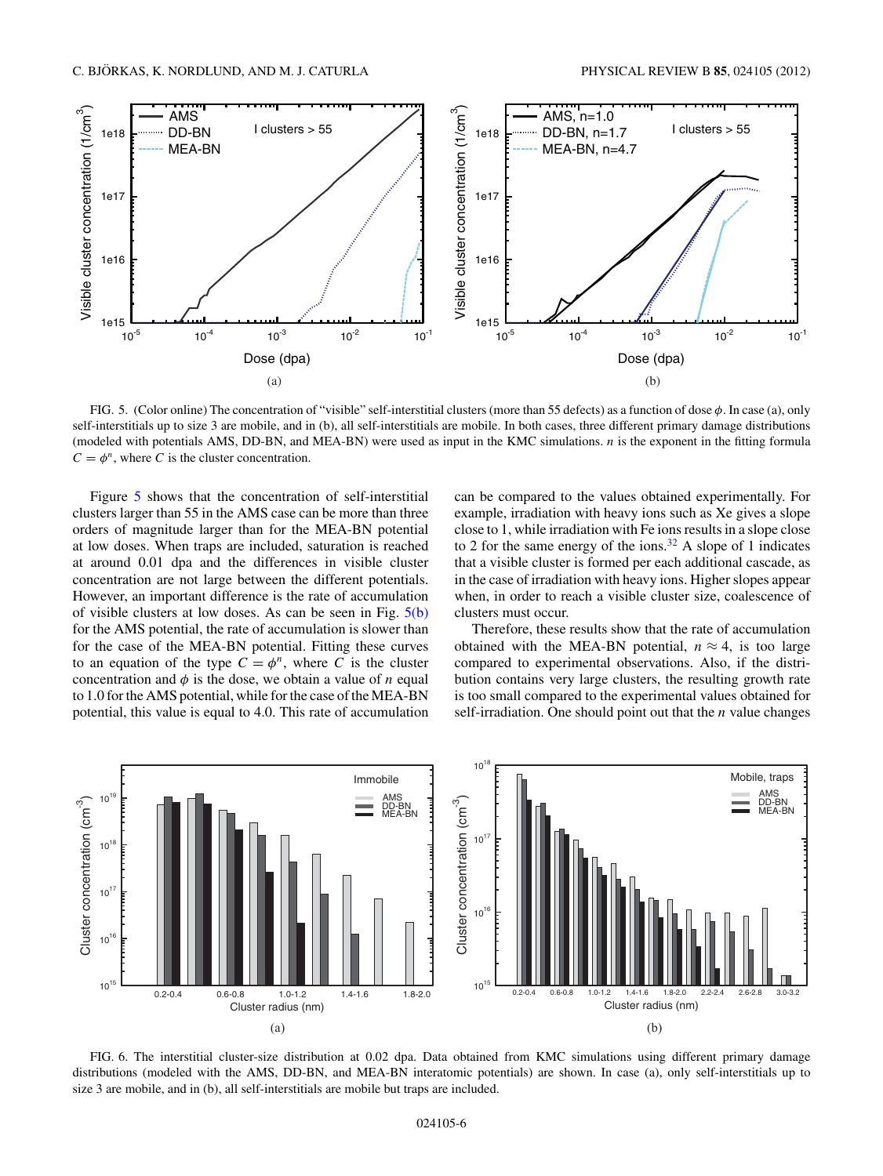<span id="page-5-0"></span>

FIG. 5. (Color online) The concentration of "visible" self-interstitial clusters (more than 55 defects) as a function of dose *φ*. In case (a), only self-interstitials up to size 3 are mobile, and in (b), all self-interstitials are mobile. In both cases, three different primary damage distributions (modeled with potentials AMS, DD-BN, and MEA-BN) were used as input in the KMC simulations. *n* is the exponent in the fitting formula  $C = \phi^n$ , where *C* is the cluster concentration.

Figure 5 shows that the concentration of self-interstitial clusters larger than 55 in the AMS case can be more than three orders of magnitude larger than for the MEA-BN potential at low doses. When traps are included, saturation is reached at around 0.01 dpa and the differences in visible cluster concentration are not large between the different potentials. However, an important difference is the rate of accumulation of visible clusters at low doses. As can be seen in Fig. 5(b) for the AMS potential, the rate of accumulation is slower than for the case of the MEA-BN potential. Fitting these curves to an equation of the type  $C = \phi^n$ , where *C* is the cluster concentration and  $\phi$  is the dose, we obtain a value of *n* equal to 1.0 for the AMS potential, while for the case of the MEA-BN potential, this value is equal to 4.0. This rate of accumulation can be compared to the values obtained experimentally. For example, irradiation with heavy ions such as Xe gives a slope close to 1, while irradiation with Fe ions results in a slope close to 2 for the same energy of the ions.<sup>32</sup> A slope of 1 indicates that a visible cluster is formed per each additional cascade, as in the case of irradiation with heavy ions. Higher slopes appear when, in order to reach a visible cluster size, coalescence of clusters must occur.

Therefore, these results show that the rate of accumulation obtained with the MEA-BN potential,  $n \approx 4$ , is too large compared to experimental observations. Also, if the distribution contains very large clusters, the resulting growth rate is too small compared to the experimental values obtained for self-irradiation. One should point out that the *n* value changes



FIG. 6. The interstitial cluster-size distribution at 0.02 dpa. Data obtained from KMC simulations using different primary damage distributions (modeled with the AMS, DD-BN, and MEA-BN interatomic potentials) are shown. In case (a), only self-interstitials up to size 3 are mobile, and in (b), all self-interstitials are mobile but traps are included.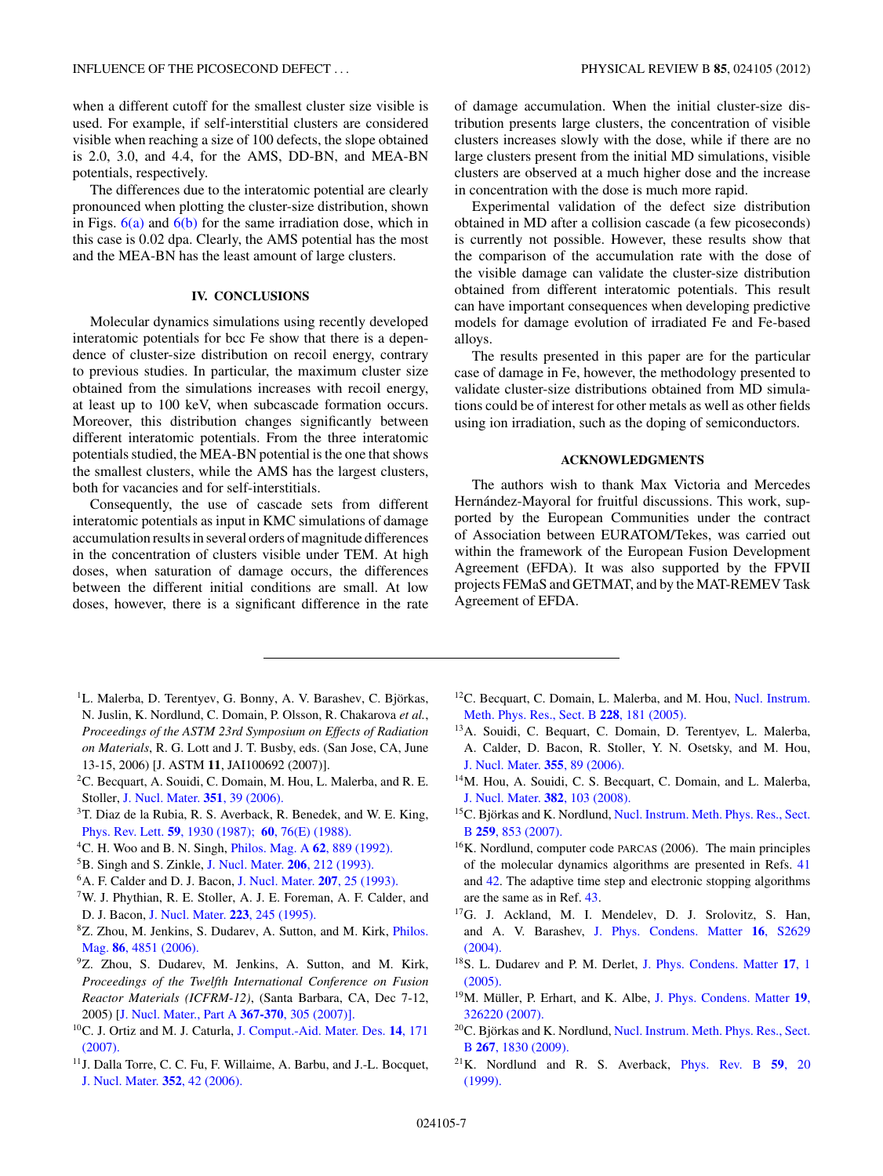<span id="page-6-0"></span>when a different cutoff for the smallest cluster size visible is used. For example, if self-interstitial clusters are considered visible when reaching a size of 100 defects, the slope obtained is 2.0, 3.0, and 4.4, for the AMS, DD-BN, and MEA-BN potentials, respectively.

The differences due to the interatomic potential are clearly pronounced when plotting the cluster-size distribution, shown in Figs.  $6(a)$  and  $6(b)$  for the same irradiation dose, which in this case is 0.02 dpa. Clearly, the AMS potential has the most and the MEA-BN has the least amount of large clusters.

### **IV. CONCLUSIONS**

Molecular dynamics simulations using recently developed interatomic potentials for bcc Fe show that there is a dependence of cluster-size distribution on recoil energy, contrary to previous studies. In particular, the maximum cluster size obtained from the simulations increases with recoil energy, at least up to 100 keV, when subcascade formation occurs. Moreover, this distribution changes significantly between different interatomic potentials. From the three interatomic potentials studied, the MEA-BN potential is the one that shows the smallest clusters, while the AMS has the largest clusters, both for vacancies and for self-interstitials.

Consequently, the use of cascade sets from different interatomic potentials as input in KMC simulations of damage accumulation results in several orders of magnitude differences in the concentration of clusters visible under TEM. At high doses, when saturation of damage occurs, the differences between the different initial conditions are small. At low doses, however, there is a significant difference in the rate of damage accumulation. When the initial cluster-size distribution presents large clusters, the concentration of visible clusters increases slowly with the dose, while if there are no large clusters present from the initial MD simulations, visible clusters are observed at a much higher dose and the increase in concentration with the dose is much more rapid.

Experimental validation of the defect size distribution obtained in MD after a collision cascade (a few picoseconds) is currently not possible. However, these results show that the comparison of the accumulation rate with the dose of the visible damage can validate the cluster-size distribution obtained from different interatomic potentials. This result can have important consequences when developing predictive models for damage evolution of irradiated Fe and Fe-based alloys.

The results presented in this paper are for the particular case of damage in Fe, however, the methodology presented to validate cluster-size distributions obtained from MD simulations could be of interest for other metals as well as other fields using ion irradiation, such as the doping of semiconductors.

#### **ACKNOWLEDGMENTS**

The authors wish to thank Max Victoria and Mercedes Hernández-Mayoral for fruitful discussions. This work, supported by the European Communities under the contract of Association between EURATOM/Tekes, was carried out within the framework of the European Fusion Development Agreement (EFDA). It was also supported by the FPVII projects FEMaS and GETMAT, and by the MAT-REMEV Task Agreement of EFDA.

- <sup>1</sup>L. Malerba, D. Terentyev, G. Bonny, A. V. Barashev, C. Björkas, N. Juslin, K. Nordlund, C. Domain, P. Olsson, R. Chakarova *et al.*, *Proceedings of the ASTM 23rd Symposium on Effects of Radiation on Materials*, R. G. Lott and J. T. Busby, eds. (San Jose, CA, June 13-15, 2006) [J. ASTM **11**, JAI100692 (2007)].
- 2C. Becquart, A. Souidi, C. Domain, M. Hou, L. Malerba, and R. E. Stoller, [J. Nucl. Mater.](http://dx.doi.org/10.1016/j.jnucmat.2006.02.022) **351**, 39 (2006).
- <sup>3</sup>T. Diaz de la Rubia, R. S. Averback, R. Benedek, and W. E. King, [Phys. Rev. Lett.](http://dx.doi.org/10.1103/PhysRevLett.59.1930) **59**, 1930 (1987); **60**[, 76\(E\) \(1988\).](http://dx.doi.org/10.1103/PhysRevLett.60.76.3)
- 4C. H. Woo and B. N. Singh, [Philos. Mag. A](http://dx.doi.org/10.1080/01418619208205596) **62**, 889 (1992).
- 5B. Singh and S. Zinkle, [J. Nucl. Mater.](http://dx.doi.org/10.1016/0022-3115(93)90125-I) **206**, 212 (1993).
- 6A. F. Calder and D. J. Bacon, [J. Nucl. Mater.](http://dx.doi.org/10.1016/0022-3115(93)90245-T) **207**, 25 (1993).
- 7W. J. Phythian, R. E. Stoller, A. J. E. Foreman, A. F. Calder, and D. J. Bacon, [J. Nucl. Mater.](http://dx.doi.org/10.1016/0022-3115(95)00022-4) **223**, 245 (1995).
- 8Z. Zhou, M. Jenkins, S. Dudarev, A. Sutton, and M. Kirk, [Philos.](http://dx.doi.org/10.1080/14786430600615041) Mag. **86**[, 4851 \(2006\).](http://dx.doi.org/10.1080/14786430600615041)
- <sup>9</sup>Z. Zhou, S. Dudarev, M. Jenkins, A. Sutton, and M. Kirk, *Proceedings of the Twelfth International Conference on Fusion Reactor Materials (ICFRM-12)*, (Santa Barbara, CA, Dec 7-12, 2005) [\[J. Nucl. Mater., Part A](http://dx.doi.org/10.1016/j.jnucmat.2007.03.135) **367-370**, 305 (2007)].
- 10C. J. Ortiz and M. J. Caturla, [J. Comput.-Aid. Mater. Des.](http://dx.doi.org/10.1007/s10820-007-9082-9) **14**, 171 [\(2007\).](http://dx.doi.org/10.1007/s10820-007-9082-9)
- <sup>11</sup>J. Dalla Torre, C. C. Fu, F. Willaime, A. Barbu, and J.-L. Bocquet, [J. Nucl. Mater.](http://dx.doi.org/10.1016/j.jnucmat.2006.02.040) **352**, 42 (2006).
- $12$ C. Becquart, C. Domain, L. Malerba, and M. Hou, [Nucl. Instrum.](http://dx.doi.org/10.1016/j.nimb.2004.10.031) [Meth. Phys. Res., Sect. B](http://dx.doi.org/10.1016/j.nimb.2004.10.031) **228**, 181 (2005).
- 13A. Souidi, C. Bequart, C. Domain, D. Terentyev, L. Malerba, A. Calder, D. Bacon, R. Stoller, Y. N. Osetsky, and M. Hou, [J. Nucl. Mater.](http://dx.doi.org/10.1016/j.jnucmat.2006.04.009) **355**, 89 (2006).
- 14M. Hou, A. Souidi, C. S. Becquart, C. Domain, and L. Malerba, [J. Nucl. Mater.](http://dx.doi.org/10.1016/j.jnucmat.2008.08.034) **382**, 103 (2008).
- <sup>15</sup>C. Björkas and K. Nordlund, [Nucl. Instrum. Meth. Phys. Res., Sect.](http://dx.doi.org/10.1016/j.nimb.2007.03.076) B **259**[, 853 \(2007\).](http://dx.doi.org/10.1016/j.nimb.2007.03.076)
- <sup>16</sup>K. Nordlund, computer code PARCAS (2006). The main principles of the molecular dynamics algorithms are presented in Refs. [41](#page-7-0) and [42.](#page-7-0) The adaptive time step and electronic stopping algorithms are the same as in Ref. [43.](#page-7-0)
- <sup>17</sup>G. J. Ackland, M. I. Mendelev, D. J. Srolovitz, S. Han, and A. V. Barashev, [J. Phys. Condens. Matter](http://dx.doi.org/10.1088/0953-8984/16/27/003) **16**, S2629 [\(2004\).](http://dx.doi.org/10.1088/0953-8984/16/27/003)
- 18S. L. Dudarev and P. M. Derlet, [J. Phys. Condens. Matter](http://dx.doi.org/10.1088/0953-8984/17/44/003) **17**, 1 [\(2005\).](http://dx.doi.org/10.1088/0953-8984/17/44/003)
- <sup>19</sup>M. Müller, P. Erhart, and K. Albe, [J. Phys. Condens. Matter](http://dx.doi.org/10.1088/0953-8984/19/32/326220) 19, [326220 \(2007\).](http://dx.doi.org/10.1088/0953-8984/19/32/326220)
- $20$ C. Björkas and K. Nordlund, [Nucl. Instrum. Meth. Phys. Res., Sect.](http://dx.doi.org/10.1016/j.nimb.2009.03.080) B **267**[, 1830 \(2009\).](http://dx.doi.org/10.1016/j.nimb.2009.03.080)
- 21K. Nordlund and R. S. Averback, [Phys. Rev. B](http://dx.doi.org/10.1103/PhysRevB.59.20) **59**, 20 [\(1999\).](http://dx.doi.org/10.1103/PhysRevB.59.20)